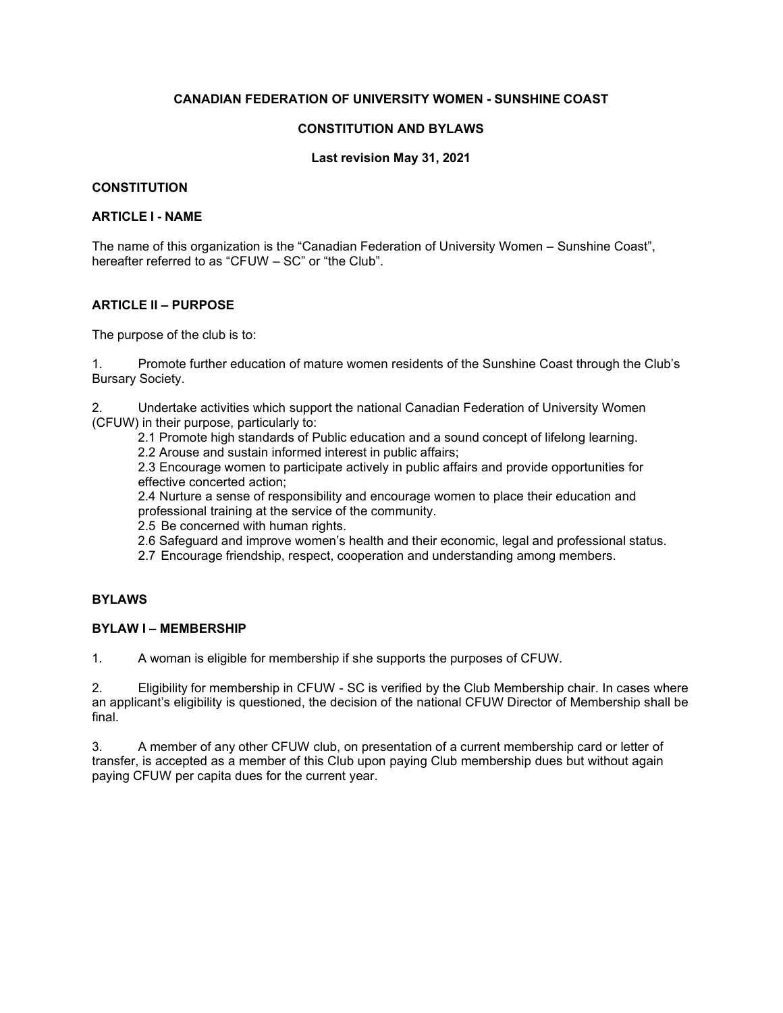### **CANADIAN FEDERATION OF UNIVERSITY WOMEN - SUNSHINE COAST**

#### **CONSTITUTION AND BYLAWS**

#### **Last revision May 31, 2021**

#### **CONSTITUTION**

#### **ARTICLE I - NAME**

The name of this organization is the "Canadian Federation of University Women – Sunshine Coast", hereafter referred to as "CFUW – SC" or "the Club".

## **ARTICLE II – PURPOSE**

The purpose of the club is to:

1. Promote further education of mature women residents of the Sunshine Coast through the Club's Bursary Society.

2. Undertake activities which support the national Canadian Federation of University Women (CFUW) in their purpose, particularly to:

2.1 Promote high standards of Public education and a sound concept of lifelong learning.

2.2 Arouse and sustain informed interest in public affairs;

2.3 Encourage women to participate actively in public affairs and provide opportunities for effective concerted action;

2.4 Nurture a sense of responsibility and encourage women to place their education and professional training at the service of the community.

- 2.5 Be concerned with human rights.
- 2.6 Safeguard and improve women's health and their economic, legal and professional status.
- 2.7 Encourage friendship, respect, cooperation and understanding among members.

#### **BYLAWS**

#### **BYLAW I – MEMBERSHIP**

1. A woman is eligible for membership if she supports the purposes of CFUW.

2. Eligibility for membership in CFUW - SC is verified by the Club Membership chair. In cases where an applicant's eligibility is questioned, the decision of the national CFUW Director of Membership shall be final.

3. A member of any other CFUW club, on presentation of a current membership card or letter of transfer, is accepted as a member of this Club upon paying Club membership dues but without again paying CFUW per capita dues for the current year.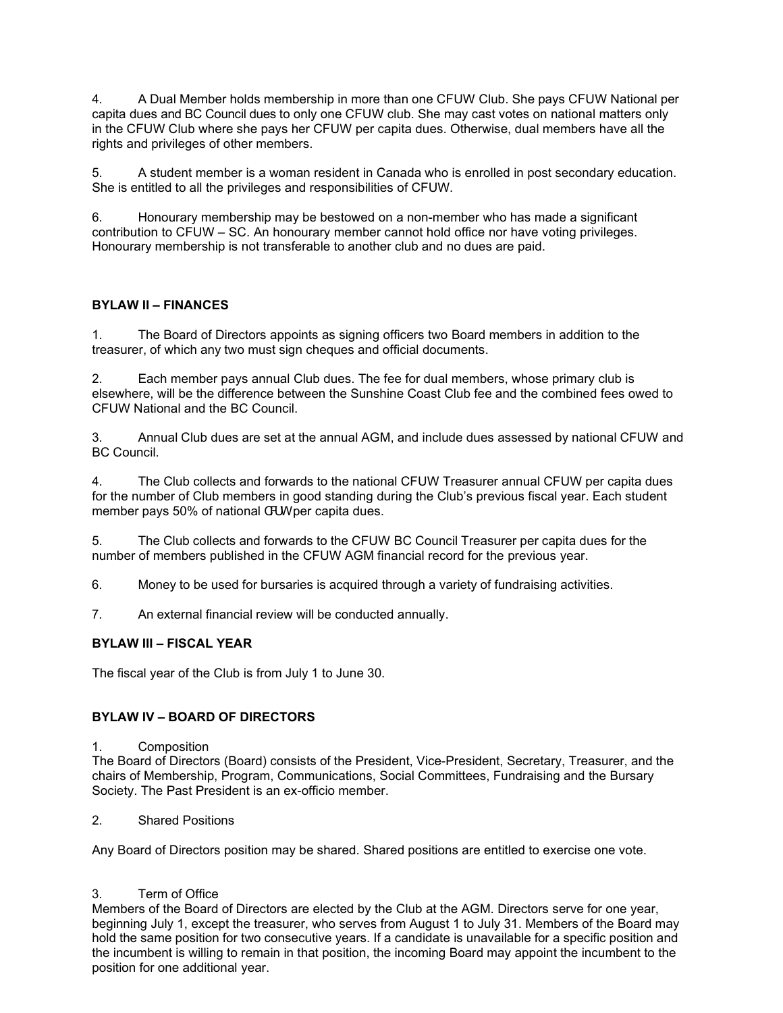4. A Dual Member holds membership in more than one CFUW Club. She pays CFUW National per capita dues and BC Council dues to only one CFUW club. She may cast votes on national matters only in the CFUW Club where she pays her CFUW per capita dues. Otherwise, dual members have all the rights and privileges of other members.

5. A student member is a woman resident in Canada who is enrolled in post secondary education. She is entitled to all the privileges and responsibilities of CFUW.

6. Honourary membership may be bestowed on a non-member who has made a significant contribution to CFUW – SC. An honourary member cannot hold office nor have voting privileges. Honourary membership is not transferable to another club and no dues are paid.

# **BYLAW II – FINANCES**

1. The Board of Directors appoints as signing officers two Board members in addition to the treasurer, of which any two must sign cheques and official documents.

2. Each member pays annual Club dues. The fee for dual members, whose primary club is elsewhere, will be the difference between the Sunshine Coast Club fee and the combined fees owed to CFUW National and the BC Council.

3. Annual Club dues are set at the annual AGM, and include dues assessed by national CFUW and BC Council.

4. The Club collects and forwards to the national CFUW Treasurer annual CFUW per capita dues for the number of Club members in good standing during the Club's previous fiscal year. Each student member pays 50% of national CFUW per capita dues.

5. The Club collects and forwards to the CFUW BC Council Treasurer per capita dues for the number of members published in the CFUW AGM financial record for the previous year.

6. Money to be used for bursaries is acquired through a variety of fundraising activities.

7. An external financial review will be conducted annually.

## **BYLAW III – FISCAL YEAR**

The fiscal year of the Club is from July 1 to June 30.

## **BYLAW IV – BOARD OF DIRECTORS**

#### 1. Composition

The Board of Directors (Board) consists of the President, Vice-President, Secretary, Treasurer, and the chairs of Membership, Program, Communications, Social Committees, Fundraising and the Bursary Society. The Past President is an ex-officio member.

2. Shared Positions

Any Board of Directors position may be shared. Shared positions are entitled to exercise one vote.

#### 3. Term of Office

Members of the Board of Directors are elected by the Club at the AGM. Directors serve for one year, beginning July 1, except the treasurer, who serves from August 1 to July 31. Members of the Board may hold the same position for two consecutive years. If a candidate is unavailable for a specific position and the incumbent is willing to remain in that position, the incoming Board may appoint the incumbent to the position for one additional year.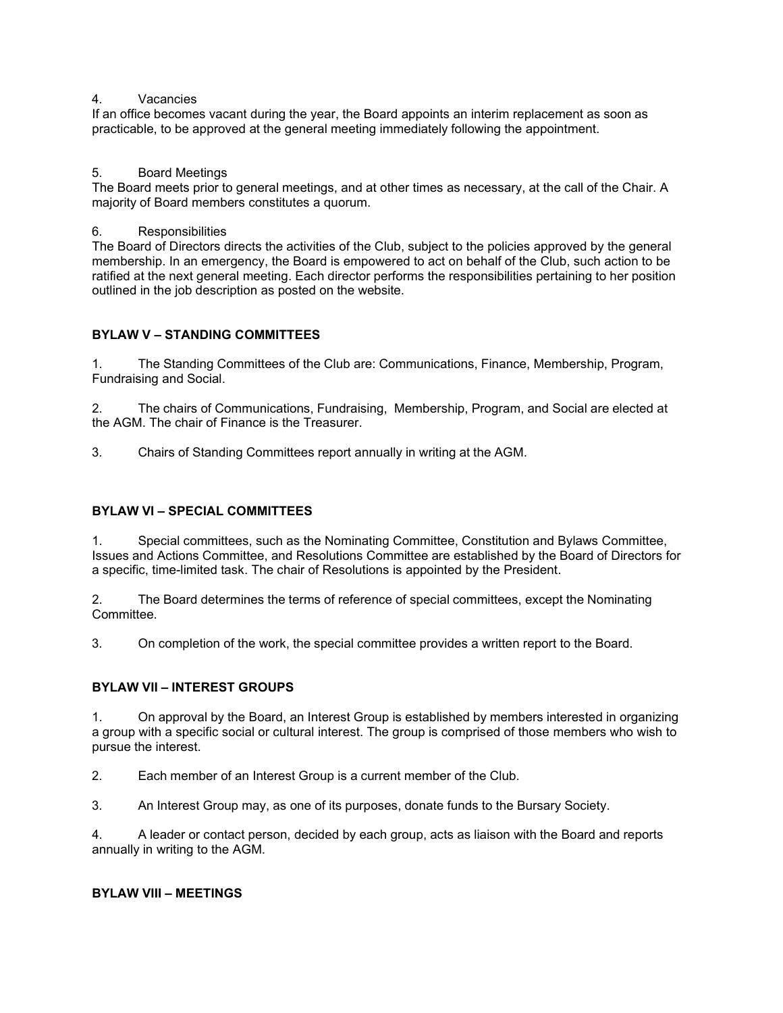### 4. Vacancies

If an office becomes vacant during the year, the Board appoints an interim replacement as soon as practicable, to be approved at the general meeting immediately following the appointment.

## 5. Board Meetings

The Board meets prior to general meetings, and at other times as necessary, at the call of the Chair. A majority of Board members constitutes a quorum.

#### 6. Responsibilities

The Board of Directors directs the activities of the Club, subject to the policies approved by the general membership. In an emergency, the Board is empowered to act on behalf of the Club, such action to be ratified at the next general meeting. Each director performs the responsibilities pertaining to her position outlined in the job description as posted on the website.

## **BYLAW V – STANDING COMMITTEES**

1. The Standing Committees of the Club are: Communications, Finance, Membership, Program, Fundraising and Social.

2. The chairs of Communications, Fundraising, Membership, Program, and Social are elected at the AGM. The chair of Finance is the Treasurer.

3. Chairs of Standing Committees report annually in writing at the AGM.

## **BYLAW VI – SPECIAL COMMITTEES**

1. Special committees, such as the Nominating Committee, Constitution and Bylaws Committee, Issues and Actions Committee, and Resolutions Committee are established by the Board of Directors for a specific, time-limited task. The chair of Resolutions is appointed by the President.

2. The Board determines the terms of reference of special committees, except the Nominating Committee.

3. On completion of the work, the special committee provides a written report to the Board.

## **BYLAW VII – INTEREST GROUPS**

1. On approval by the Board, an Interest Group is established by members interested in organizing a group with a specific social or cultural interest. The group is comprised of those members who wish to pursue the interest.

2. Each member of an Interest Group is a current member of the Club.

3. An Interest Group may, as one of its purposes, donate funds to the Bursary Society.

4. A leader or contact person, decided by each group, acts as liaison with the Board and reports annually in writing to the AGM.

#### **BYLAW VIII – MEETINGS**